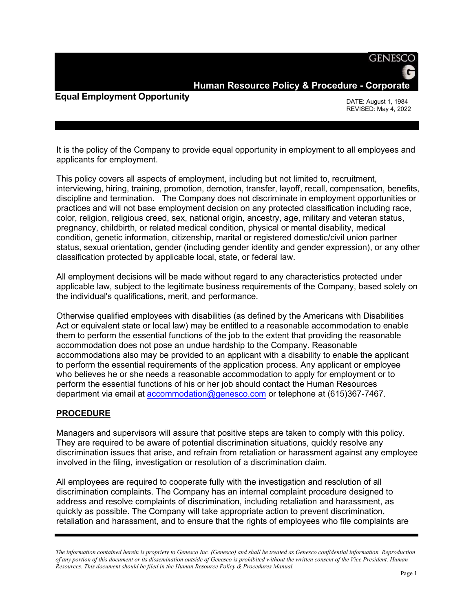**Human Resource Policy & Procedure - Corporate**

## **Equal Employment Opportunity**

DATE: August 1, 1984 REVISED: May 4, 2022

**GENESCO** 

It is the policy of the Company to provide equal opportunity in employment to all employees and applicants for employment.

This policy covers all aspects of employment, including but not limited to, recruitment, interviewing, hiring, training, promotion, demotion, transfer, layoff, recall, compensation, benefits, discipline and termination. The Company does not discriminate in employment opportunities or practices and will not base employment decision on any protected classification including race, color, religion, religious creed, sex, national origin, ancestry, age, military and veteran status, pregnancy, childbirth, or related medical condition, physical or mental disability, medical condition, genetic information, citizenship, marital or registered domestic/civil union partner status, sexual orientation, gender (including gender identity and gender expression), or any other classification protected by applicable local, state, or federal law.

All employment decisions will be made without regard to any characteristics protected under applicable law, subject to the legitimate business requirements of the Company, based solely on the individual's qualifications, merit, and performance.

Otherwise qualified employees with disabilities (as defined by the Americans with Disabilities Act or equivalent state or local law) may be entitled to a reasonable accommodation to enable them to perform the essential functions of the job to the extent that providing the reasonable accommodation does not pose an undue hardship to the Company. Reasonable accommodations also may be provided to an applicant with a disability to enable the applicant to perform the essential requirements of the application process. Any applicant or employee who believes he or she needs a reasonable accommodation to apply for employment or to perform the essential functions of his or her job should contact the Human Resources department via email at [accommodation@genesco.com](mailto:accommodation@genesco.com) or telephone at (615)367-7467.

## **PROCEDURE**

Managers and supervisors will assure that positive steps are taken to comply with this policy. They are required to be aware of potential discrimination situations, quickly resolve any discrimination issues that arise, and refrain from retaliation or harassment against any employee involved in the filing, investigation or resolution of a discrimination claim.

All employees are required to cooperate fully with the investigation and resolution of all discrimination complaints. The Company has an internal complaint procedure designed to address and resolve complaints of discrimination, including retaliation and harassment, as quickly as possible. The Company will take appropriate action to prevent discrimination, retaliation and harassment, and to ensure that the rights of employees who file complaints are

*The information contained herein is propriety to Genesco Inc. (Genesco) and shall be treated as Genesco confidential information. Reproduction of any portion of this document or its dissemination outside of Genesco is prohibited without the written consent of the Vice President, Human Resources. This document should be filed in the Human Resource Policy & Procedures Manual.*